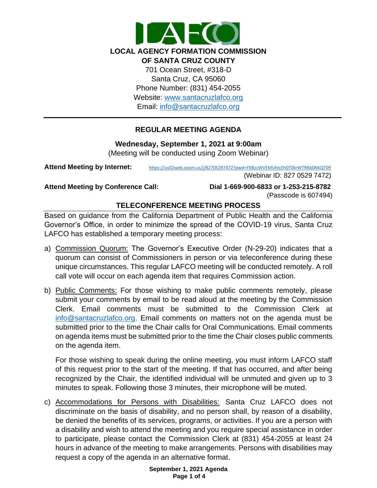

# **REGULAR MEETING AGENDA**

**Wednesday, September 1, 2021 at 9:00am** (Meeting will be conducted using Zoom Webinar)

Attend Meeting by Internet: <https://us02web.zoom.us/j/82705297472?pwd=YXBzcWVEMUhIcEh0T0krWTRKb0NKQT09>

(Webinar ID: 827 0529 7472)

**Attend Meeting by Conference Call: Dial 1-669-900-6833 or 1-253-215-8782**  (Passcode is 607494)

# **TELECONFERENCE MEETING PROCESS**

Based on guidance from the California Department of Public Health and the California Governor's Office, in order to minimize the spread of the COVID-19 virus, Santa Cruz LAFCO has established a temporary meeting process:

- a) Commission Quorum: The Governor's Executive Order (N-29-20) indicates that a quorum can consist of Commissioners in person or via teleconference during these unique circumstances. This regular LAFCO meeting will be conducted remotely. A roll call vote will occur on each agenda item that requires Commission action.
- b) Public Comments: For those wishing to make public comments remotely, please submit your comments by email to be read aloud at the meeting by the Commission Clerk. Email comments must be submitted to the Commission Clerk at [info@santacruzlafco.org.](mailto:info@santacruzlafco.org) Email comments on matters not on the agenda must be submitted prior to the time the Chair calls for Oral Communications. Email comments on agenda items must be submitted prior to the time the Chair closes public comments on the agenda item.

For those wishing to speak during the online meeting, you must inform LAFCO staff of this request prior to the start of the meeting. If that has occurred, and after being recognized by the Chair, the identified individual will be unmuted and given up to 3 minutes to speak. Following those 3 minutes, their microphone will be muted.

c) Accommodations for Persons with Disabilities: Santa Cruz LAFCO does not discriminate on the basis of disability, and no person shall, by reason of a disability, be denied the benefits of its services, programs, or activities. If you are a person with a disability and wish to attend the meeting and you require special assistance in order to participate, please contact the Commission Clerk at (831) 454-2055 at least 24 hours in advance of the meeting to make arrangements. Persons with disabilities may request a copy of the agenda in an alternative format.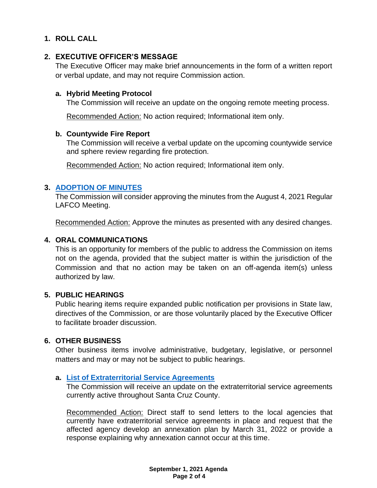# **1. ROLL CALL**

# **2. EXECUTIVE OFFICER'S MESSAGE**

The Executive Officer may make brief announcements in the form of a written report or verbal update, and may not require Commission action.

### **a. Hybrid Meeting Protocol**

The Commission will receive an update on the ongoing remote meeting process.

Recommended Action: No action required; Informational item only.

### **b. Countywide Fire Report**

The Commission will receive a verbal update on the upcoming countywide service and sphere review regarding fire protection.

Recommended Action: No action required; Informational item only.

### **3. [ADOPTION OF MINUTES](https://www.santacruzlafco.org/wp-content/uploads/2021/08/3.0-Draft-Minutes-Aug-4-Meeting.pdf)**

The Commission will consider approving the minutes from the August 4, 2021 Regular LAFCO Meeting.

Recommended Action: Approve the minutes as presented with any desired changes.

### **4. ORAL COMMUNICATIONS**

This is an opportunity for members of the public to address the Commission on items not on the agenda, provided that the subject matter is within the jurisdiction of the Commission and that no action may be taken on an off-agenda item(s) unless authorized by law.

### **5. PUBLIC HEARINGS**

Public hearing items require expanded public notification per provisions in State law, directives of the Commission, or are those voluntarily placed by the Executive Officer to facilitate broader discussion.

### **6. OTHER BUSINESS**

Other business items involve administrative, budgetary, legislative, or personnel matters and may or may not be subject to public hearings.

### **a. [List of Extraterritorial Service Agreements](https://www.santacruzlafco.org/wp-content/uploads/2021/08/6a.0-ESA-List-Staff-Report_Hyperlink.pdf)**

The Commission will receive an update on the extraterritorial service agreements currently active throughout Santa Cruz County.

Recommended Action: Direct staff to send letters to the local agencies that currently have extraterritorial service agreements in place and request that the affected agency develop an annexation plan by March 31, 2022 or provide a response explaining why annexation cannot occur at this time.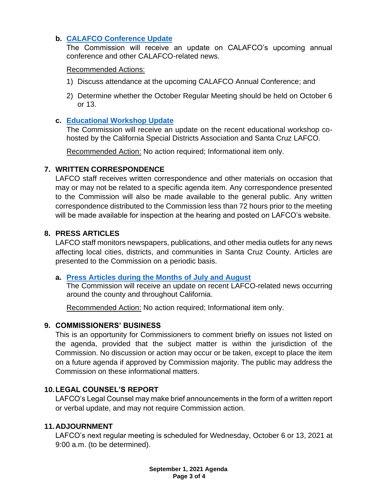# **b. [CALAFCO Conference](https://www.santacruzlafco.org/wp-content/uploads/2021/08/6b.0-CALAFCO-Update-Staff-Report.pdf) Update**

The Commission will receive an update on CALAFCO's upcoming annual conference and other CALAFCO-related news.

### Recommended Actions:

- 1) Discuss attendance at the upcoming CALAFCO Annual Conference; and
- 2) Determine whether the October Regular Meeting should be held on October 6 or 13.

## **c. [Educational Workshop Update](https://www.santacruzlafco.org/wp-content/uploads/2021/08/6c.0-Workshop-Update-Staff-Report.pdf)**

The Commission will receive an update on the recent educational workshop cohosted by the California Special Districts Association and Santa Cruz LAFCO.

Recommended Action: No action required; Informational item only.

## **7. WRITTEN CORRESPONDENCE**

LAFCO staff receives written correspondence and other materials on occasion that may or may not be related to a specific agenda item. Any correspondence presented to the Commission will also be made available to the general public. Any written correspondence distributed to the Commission less than 72 hours prior to the meeting will be made available for inspection at the hearing and posted on LAFCO's website.

## **8. PRESS ARTICLES**

LAFCO staff monitors newspapers, publications, and other media outlets for any news affecting local cities, districts, and communities in Santa Cruz County. Articles are presented to the Commission on a periodic basis.

## **a. [Press Articles during the Months of July](https://www.santacruzlafco.org/wp-content/uploads/2021/08/8a.0-Press-Articles-Staff-Report_Hyperlink.pdf) and August**

The Commission will receive an update on recent LAFCO-related news occurring around the county and throughout California.

Recommended Action: No action required; Informational item only.

## **9. COMMISSIONERS' BUSINESS**

This is an opportunity for Commissioners to comment briefly on issues not listed on the agenda, provided that the subject matter is within the jurisdiction of the Commission. No discussion or action may occur or be taken, except to place the item on a future agenda if approved by Commission majority. The public may address the Commission on these informational matters.

## **10.LEGAL COUNSEL'S REPORT**

LAFCO's Legal Counsel may make brief announcements in the form of a written report or verbal update, and may not require Commission action.

## **11.ADJOURNMENT**

LAFCO's next regular meeting is scheduled for Wednesday, October 6 or 13, 2021 at 9:00 a.m. (to be determined).